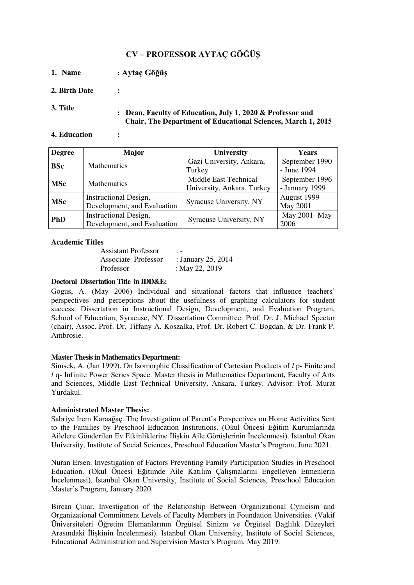# **CV – PROFESSOR AYTAÇ GÖĞÜŞ**

- **1. Name : Aytaç Göğüş**
- **2. Birth Date :**
- 

**3. Title : Dean, Faculty of Education, July 1, 2020 & Professor and Chair, The Department of Educational Sciences, March 1, 2015** 

**4. Education :**

| <b>Degree</b> | Major                        | University                 | Years          |  |
|---------------|------------------------------|----------------------------|----------------|--|
| <b>BSc</b>    | Mathematics                  | Gazi University, Ankara,   |                |  |
|               |                              | Turkey                     | - June 1994    |  |
| <b>MSc</b>    | Mathematics                  | Middle East Technical      | September 1996 |  |
|               |                              | University, Ankara, Turkey | - January 1999 |  |
| <b>MSc</b>    | Instructional Design,        | Syracuse University, NY    | August 1999 -  |  |
|               | Development, and Evaluation  |                            | May 2001       |  |
| <b>PhD</b>    | <b>Instructional Design,</b> | Syracuse University, NY    | May 2001- May  |  |
|               | Development, and Evaluation  |                            | 2006           |  |

#### **Academic Titles**

Assistant Professor : - Associate Professor : January 25, 2014 Professor : May 22, 2019

#### **Doctoral Dissertation Title in IDD&E:**

Gogus, A. (May 2006) Individual and situational factors that influence teachers' perspectives and perceptions about the usefulness of graphing calculators for student success. Dissertation in Instructional Design, Development, and Evaluation Program, School of Education, Syracuse, NY. Dissertation Committee: Prof. Dr. J. Michael Spector (chair), Assoc. Prof. Dr. Tiffany A. Koszalka, Prof. Dr. Robert C. Bogdan, & Dr. Frank P. Ambrosie.

#### **Master Thesis in Mathematics Department:**

Simsek, A. (Jan 1999). On Isomorphic Classification of Cartesian Products of *l* p- Finite and *l* q- Infinite Power Series Space. Master thesis in Mathematics Department, Faculty of Arts and Sciences, Middle East Technical University, Ankara, Turkey. Advisor: Prof. Murat Yurdakul.

## **Administrated Master Thesis:**

Sabriye İrem Karaağaç. The Investigation of Parent's Perspectives on Home Activities Sent to the Families by Preschool Education Institutions. (Okul Öncesi Eğitim Kurumlarında Ailelere Gönderilen Ev Etkinliklerine İlişkin Aile Görüşlerinin İncelenmesi). Istanbul Okan University, Institute of Social Sciences, Preschool Education Master's Program, June 2021.

Nuran Ersen. Investigation of Factors Preventing Family Participation Studies in Preschool Education. (Okul Öncesi Eğitimde Aile Katılım Çalışmalarını Engelleyen Etmenlerin İncelenmesi). Istanbul Okan University, Institute of Social Sciences, Preschool Education Master's Program, January 2020.

Bircan Çınar. Investigation of the Relationship Between Organizational Cynicism and Organizational Commitment Levels of Faculty Members in Foundation Universities. (Vakif Üniversiteleri Öğretim Elemanlarının Örgütsel Sinizm ve Örgütsel Bağlılık Düzeyleri Arasındaki İlişkinin İncelenmesi). Istanbul Okan University, Institute of Social Sciences, Educational Administration and Supervision Master's Program, May 2019.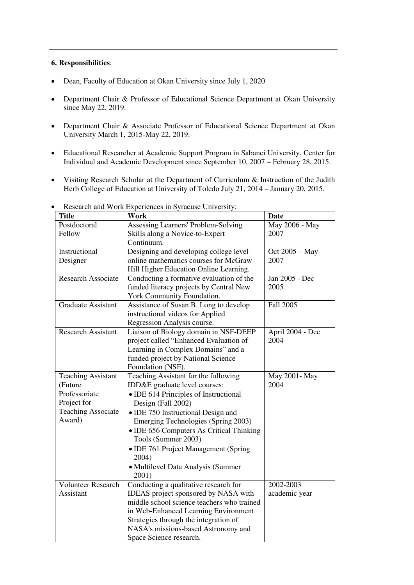#### **6. Responsibilities**:

- Dean, Faculty of Education at Okan University since July 1, 2020
- Department Chair & Professor of Educational Science Department at Okan University since May 22, 2019.
- Department Chair & Associate Professor of Educational Science Department at Okan University March 1, 2015-May 22, 2019.
- Educational Researcher at Academic Support Program in Sabanci University, Center for Individual and Academic Development since September 10, 2007 – February 28, 2015.
- Visiting Research Scholar at the Department of Curriculum & Instruction of the Judith Herb College of Education at University of Toledo July 21, 2014 – January 20, 2015.

| <b>Title</b>              | research and work Experiences in Syracuse Chryenshy.<br>Work | <b>Date</b>      |
|---------------------------|--------------------------------------------------------------|------------------|
| Postdoctoral              | Assessing Learners' Problem-Solving                          | May 2006 - May   |
| Fellow                    | Skills along a Novice-to-Expert                              | 2007             |
|                           | Continuum.                                                   |                  |
| Instructional             | Designing and developing college level                       | Oct 2005 - May   |
| Designer                  | online mathematics courses for McGraw                        | 2007             |
|                           | Hill Higher Education Online Learning.                       |                  |
| <b>Research Associate</b> | Conducting a formative evaluation of the                     | Jan 2005 - Dec   |
|                           | funded literacy projects by Central New                      | 2005             |
|                           |                                                              |                  |
| <b>Graduate Assistant</b> | York Community Foundation.                                   | Fall 2005        |
|                           | Assistance of Susan B. Long to develop                       |                  |
|                           | instructional videos for Applied                             |                  |
|                           | Regression Analysis course.                                  |                  |
| <b>Research Assistant</b> | Liaison of Biology domain in NSF-DEEP                        | April 2004 - Dec |
|                           | project called "Enhanced Evaluation of                       | 2004             |
|                           | Learning in Complex Domains" and a                           |                  |
|                           | funded project by National Science                           |                  |
|                           | Foundation (NSF).                                            |                  |
| <b>Teaching Assistant</b> | Teaching Assistant for the following                         | May 2001-May     |
| (Future                   | IDD&E graduate level courses:                                | 2004             |
| Professoriate             | • IDE 614 Principles of Instructional                        |                  |
| Project for               | Design (Fall 2002)                                           |                  |
| <b>Teaching Associate</b> | · IDE 750 Instructional Design and                           |                  |
| Award)                    | Emerging Technologies (Spring 2003)                          |                  |
|                           | • IDE 656 Computers As Critical Thinking                     |                  |
|                           | Tools (Summer 2003)                                          |                  |
|                           | • IDE 761 Project Management (Spring                         |                  |
|                           | 2004)                                                        |                  |
|                           | • Multilevel Data Analysis (Summer                           |                  |
|                           | 2001)                                                        |                  |
| <b>Volunteer Research</b> | Conducting a qualitative research for                        | 2002-2003        |
| Assistant                 | IDEAS project sponsored by NASA with                         | academic year    |
|                           | middle school science teachers who trained                   |                  |
|                           | in Web-Enhanced Learning Environment                         |                  |
|                           | Strategies through the integration of                        |                  |
|                           | NASA's missions-based Astronomy and                          |                  |
|                           | Space Science research.                                      |                  |

Research and Work Experiences in Syracuse University: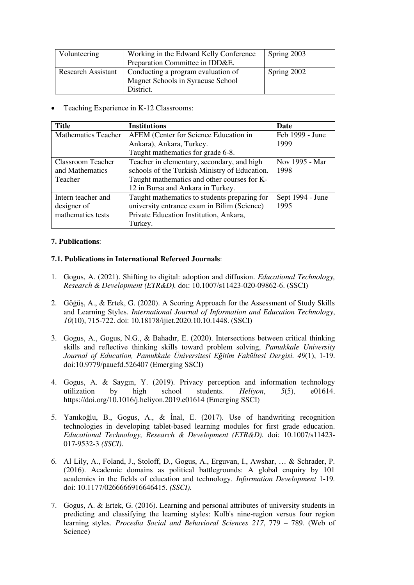| Volunteering              | Working in the Edward Kelly Conference<br>Preparation Committee in IDD&E.            | Spring 2003 |
|---------------------------|--------------------------------------------------------------------------------------|-------------|
| <b>Research Assistant</b> | Conducting a program evaluation of<br>Magnet Schools in Syracuse School<br>District. | Spring 2002 |

Teaching Experience in K-12 Classrooms:

| <b>Title</b>               | <b>Institutions</b>                           | Date             |
|----------------------------|-----------------------------------------------|------------------|
| <b>Mathematics Teacher</b> | AFEM (Center for Science Education in         | Feb 1999 - June  |
|                            | Ankara), Ankara, Turkey.                      | 1999             |
|                            | Taught mathematics for grade 6-8.             |                  |
| Classroom Teacher          | Teacher in elementary, secondary, and high    | Nov 1995 - Mar   |
| and Mathematics            | schools of the Turkish Ministry of Education. | 1998             |
| Teacher                    | Taught mathematics and other courses for K-   |                  |
|                            | 12 in Bursa and Ankara in Turkey.             |                  |
| Intern teacher and         | Taught mathematics to students preparing for  | Sept 1994 - June |
| designer of                | university entrance exam in Bilim (Science)   | 1995             |
| mathematics tests          | Private Education Institution, Ankara,        |                  |
|                            | Turkey.                                       |                  |

#### **7. Publications**:

#### **7.1. Publications in International Refereed Journals**:

- 1. Gogus, A. (2021). Shifting to digital: adoption and diffusion. *Educational Technology, Research & Development (ETR&D).* doı: 10.1007/s11423-020-09862-6. (SSCI)
- 2. Göğüş, A., & Ertek, G. (2020). A Scoring Approach for the Assessment of Study Skills and Learning Styles. *International Journal of Information and Education Technology*, *10*(10), 715-722. doi: 10.18178/ijiet.2020.10.10.1448. (SSCI)
- 3. Gogus, A., Gogus, N.G., & Bahadır, E. (2020). Intersections between critical thinking skills and reflective thinking skills toward problem solving, *Pamukkale University Journal of Education, Pamukkale Üniversitesi Eğitim Fakültesi Dergisi. 49*(1), 1-19. doi:10.9779/pauefd.526407 (Emerging SSCI)
- 4. Gogus, A. & Saygin, Y. (2019). Privacy perception and information technology utilization by high school students. *Helivon*, 5(5), e01614. utilization by high school students. *Heliyon*, *5*(5), e01614. https://doi.org/10.1016/j.heliyon.2019.e01614 (Emerging SSCI)
- 5. Yanıkoğlu, B., Gogus, A., & İnal, E. (2017). Use of handwriting recognition technologies in developing tablet-based learning modules for first grade education. *Educational Technology, Research & Development (ETR&D).* doi: 10.1007/s11423- 017-9532-3 *(SSCI).*
- 6. Al Lily, A., Foland, J., Stoloff, D., Gogus, A., Erguvan, I., Awshar, … & Schrader, P. (2016). Academic domains as political battlegrounds: A global enquiry by 101 academics in the fields of education and technology. *Information Development* 1-19*.* doi: 10.1177/0266666916646415. *(SSCI).*
- 7. Gogus, A. & Ertek, G. (2016). Learning and personal attributes of university students in predicting and classifying the learning styles: Kolb's nine-region versus four region learning styles. *Procedia Social and Behavioral Sciences 217*, 779 – 789. (Web of Science)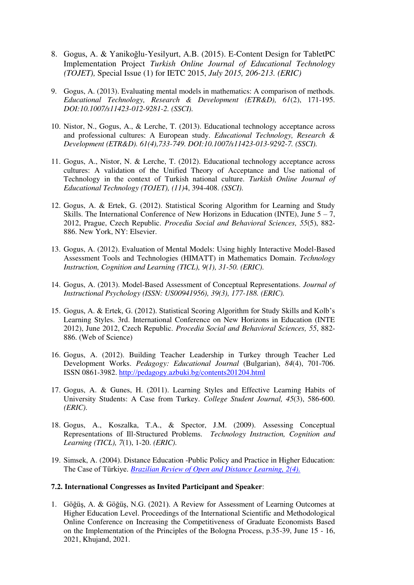- 8. Gogus, A. & Yanikoğlu-Yesilyurt, A.B. (2015). E-Content Design for TabletPC Implementation Project *Turkish Online Journal of Educational Technology (TOJET),* Special Issue (1) for IETC 2015, *July 2015, 206-213. (ERIC)*
- 9. Gogus, A. (2013). Evaluating mental models in mathematics: A comparison of methods. *Educational Technology, Research & Development (ETR&D), 61*(2), 171-195. *DOI:10.1007/s11423-012-9281-2. (SSCI).*
- 10. Nistor, N., Gogus, A., & Lerche, T. (2013). Educational technology acceptance across and professional cultures: A European study. *Educational Technology, Research & Development (ETR&D). 61(4),733-749. DOI:10.1007/s11423-013-9292-7. (SSCI).*
- 11. Gogus, A., Nistor, N. & Lerche, T. (2012). Educational technology acceptance across cultures: A validation of the Unified Theory of Acceptance and Use national of Technology in the context of Turkish national culture. *Turkish Online Journal of Educational Technology (TOJET), (11)*4, 394-408. *(SSCI).*
- 12. Gogus, A. & Ertek, G. (2012). Statistical Scoring Algorithm for Learning and Study Skills. The International Conference of New Horizons in Education (INTE), June  $5 - 7$ , 2012, Prague, Czech Republic. *Procedia Social and Behavioral Sciences, 55*(5), 882- 886. New York, NY: Elsevier.
- 13. Gogus, A. (2012). Evaluation of Mental Models: Using highly Interactive Model-Based Assessment Tools and Technologies (HIMATT) in Mathematics Domain. *Technology Instruction, Cognition and Learning (TICL), 9(1), 31-50. (ERIC).*
- 14. Gogus, A. (2013). Model-Based Assessment of Conceptual Representations. *Journal of Instructional Psychology (ISSN: US00941956), 39(3), 177-188. (ERIC).*
- 15. Gogus, A. & Ertek, G. (2012). Statistical Scoring Algorithm for Study Skills and Kolb's Learning Styles. 3rd. International Conference on New Horizons in Education (INTE 2012), June 2012, Czech Republic. *Procedia Social and Behavioral Sciences, 55*, 882- 886. (Web of Science)
- 16. Gogus, A. (2012). Building Teacher Leadership in Turkey through Teacher Led Development Works. *Pedagogy: Educational Journal* (Bulgarian), *84*(4), 701-706. ISSN 0861-3982.<http://pedagogy.azbuki.bg/contents201204.html>
- 17. Gogus, A. & Gunes, H. (2011). Learning Styles and Effective Learning Habits of University Students: A Case from Turkey. *College Student Journal, 45*(3), 586-600. *(ERIC).*
- 18. Gogus, A., Koszalka, T.A., & Spector, J.M. (2009). Assessing Conceptual Representations of Ill-Structured Problems. *Technology Instruction, Cognition and Learning (TICL), 7*(1), 1-20. *(ERIC).*
- 19. Simsek, A. (2004). Distance Education -Public Policy and Practice in Higher Education: The Case of Türkiye. *[Brazilian Review of Open and Distance Learning, 2\(4\).](http://www.abed.org.br/publique/cgi/cgilua.exe/sys/start.htm?UserActiveTemplate=1por&infoid=917&sid=70)*

#### **7.2. International Congresses as Invited Participant and Speaker**:

1. Göğüş, A. & Göğüş, N.G. (2021). A Review for Assessment of Learning Outcomes at Higher Education Level. Proceedings of the International Scientific and Methodological Online Conference on Increasing the Competitiveness of Graduate Economists Based on the Implementation of the Principles of the Bologna Process, p.35-39, June 15 - 16, 2021, Khujand, 2021.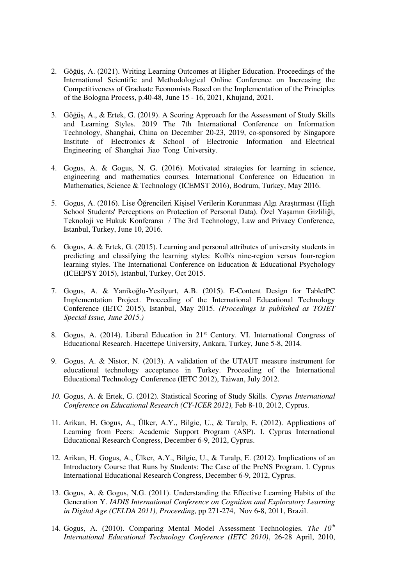- 2. Göğüş, A. (2021). Writing Learning Outcomes at Higher Education. Proceedings of the International Scientific and Methodological Online Conference on Increasing the Competitiveness of Graduate Economists Based on the Implementation of the Principles of the Bologna Process, p.40-48, June 15 - 16, 2021, Khujand, 2021.
- 3. Göğüş, A., & Ertek, G. (2019). A Scoring Approach for the Assessment of Study Skills and Learning Styles. 2019 The 7th International Conference on Information Technology, Shanghai, China on December 20-23, 2019, co-sponsored by Singapore Institute of Electronics & School of Electronic Information and Electrical Engineering of Shanghai Jiao Tong University.
- 4. Gogus, A. & Gogus, N. G. (2016). Motivated strategies for learning in science, engineering and mathematics courses. International Conference on Education in Mathematics, Science & Technology (ICEMST 2016), Bodrum, Turkey, May 2016.
- 5. Gogus, A. (2016). Lise Öğrencileri Kişisel Verilerin Korunması Algı Araştırması (High School Students' Perceptions on Protection of Personal Data). Özel Yaşamın Gizliliği, Teknoloji ve Hukuk Konferansı / The 3rd Technology, Law and Privacy Conference, Istanbul, Turkey, June 10, 2016.
- 6. Gogus, A. & Ertek, G. (2015). Learning and personal attributes of university students in predicting and classifying the learning styles: Kolb's nine-region versus four-region learning styles. The International Conference on Education & Educational Psychology (ICEEPSY 2015), Istanbul, Turkey, Oct 2015.
- 7. Gogus, A. & Yanikoğlu-Yesilyurt, A.B. (2015). E-Content Design for TabletPC Implementation Project. Proceeding of the International Educational Technology Conference (IETC 2015), Istanbul, May 2015. *(Procedings is published as TOJET Special Issue, June 2015.)*
- 8. Gogus, A. (2014). Liberal Education in 21st Century. VI. International Congress of Educational Research. Hacettepe University, Ankara, Turkey, June 5-8, 2014.
- 9. Gogus, A. & Nistor, N. (2013). A validation of the UTAUT measure instrument for educational technology acceptance in Turkey. Proceeding of the International Educational Technology Conference (IETC 2012), Taiwan, July 2012.
- *10.* Gogus, A. & Ertek, G. (2012). Statistical Scoring of Study Skills. *Cyprus International Conference on Educational Research (CY-ICER 2012),* Feb 8-10, 2012, Cyprus*.*
- 11. Arikan, H. Gogus, A., Ülker, A.Y., Bilgic, U., & Taralp, E. (2012). Applications of Learning from Peers: Academic Support Program (ASP). I. Cyprus International Educational Research Congress, December 6-9, 2012, Cyprus.
- 12. Arikan, H. Gogus, A., Ülker, A.Y., Bilgic, U., & Taralp, E. (2012). Implications of an Introductory Course that Runs by Students: The Case of the PreNS Program. I. Cyprus International Educational Research Congress, December 6-9, 2012, Cyprus.
- 13. Gogus, A. & Gogus, N.G. (2011). Understanding the Effective Learning Habits of the Generation Y. *IADIS International Conference on Cognition and Exploratory Learning in Digital Age (CELDA 2011), Proceeding,* pp 271-274, Nov 6-8, 2011, Brazil.
- 14. Gogus, A. (2010). Comparing Mental Model Assessment Technologies*. The 10th International Educational Technology Conference (IETC 2010)*, 26-28 April, 2010,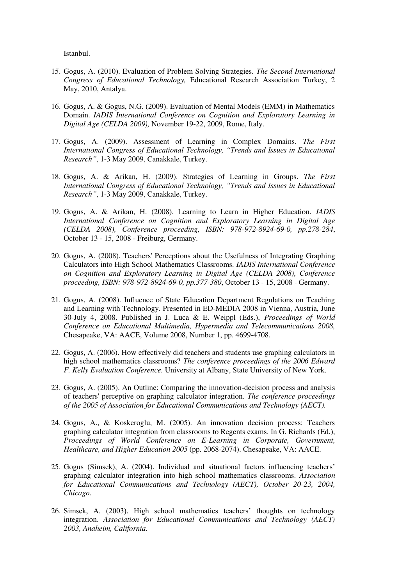Istanbul.

- 15. Gogus, A. (2010). Evaluation of Problem Solving Strategies. *The Second International Congress of Educational Technology,* Educational Research Association Turkey, 2 May, 2010, Antalya.
- 16. Gogus, A. & Gogus, N.G. (2009). Evaluation of Mental Models (EMM) in Mathematics Domain. *IADIS International Conference on Cognition and Exploratory Learning in Digital Age (CELDA 2009),* November 19-22, 2009, Rome, Italy.
- 17. Gogus, A. (2009). Assessment of Learning in Complex Domains. *The First International Congress of Educational Technology, "Trends and Issues in Educational Research"*, 1-3 May 2009, Canakkale, Turkey.
- 18. Gogus, A. & Arikan, H. (2009). Strategies of Learning in Groups. *The First International Congress of Educational Technology, "Trends and Issues in Educational Research"*, 1-3 May 2009, Canakkale, Turkey.
- 19. Gogus, A. & Arikan, H. (2008). Learning to Learn in Higher Education. *IADIS International Conference on Cognition and Exploratory Learning in Digital Age (CELDA 2008), Conference proceeding, ISBN: 978-972-8924-69-0, pp.278-284*, October 13 - 15, 2008 - Freiburg, Germany.
- 20. Gogus, A. (2008). Teachers' Perceptions about the Usefulness of Integrating Graphing Calculators into High School Mathematics Classrooms. *IADIS International Conference on Cognition and Exploratory Learning in Digital Age (CELDA 2008), Conference proceeding, ISBN: 978-972-8924-69-0, pp.377-380*, October 13 - 15, 2008 - Germany.
- 21. Gogus, A. (2008). Influence of State Education Department Regulations on Teaching and Learning with Technology. Presented in ED-MEDIA 2008 in Vienna, Austria, June 30-July 4, 2008. Published in J. Luca & E. Weippl (Eds.), *Proceedings of World Conference on Educational Multimedia, Hypermedia and Telecommunications 2008,*  Chesapeake, VA: AACE, Volume 2008, Number 1, pp. 4699-4708.
- 22. Gogus, A. (2006). How effectively did teachers and students use graphing calculators in high school mathematics classrooms? *The conference proceedings of the 2006 Edward F. Kelly Evaluation Conference.* University at Albany, State University of New York.
- 23. Gogus, A. (2005). An Outline: Comparing the innovation-decision process and analysis of teachers' perceptive on graphing calculator integration. *The conference proceedings of the 2005 of Association for Educational Communications and Technology (AECT).*
- 24. Gogus, A., & Koskeroglu, M. (2005). An innovation decision process: Teachers graphing calculator integration from classrooms to Regents exams. In G. Richards (Ed.), *Proceedings of World Conference on E-Learning in Corporate, Government, Healthcare, and Higher Education 2005* (pp. 2068-2074). Chesapeake, VA: AACE.
- 25. Gogus (Simsek), A. (2004). Individual and situational factors influencing teachers' graphing calculator integration into high school mathematics classrooms. *Association for Educational Communications and Technology (AECT), October 20-23, 2004, Chicago.*
- 26. Simsek, A. (2003). High school mathematics teachers' thoughts on technology integration. *Association for Educational Communications and Technology (AECT) 2003, Anaheim, California*.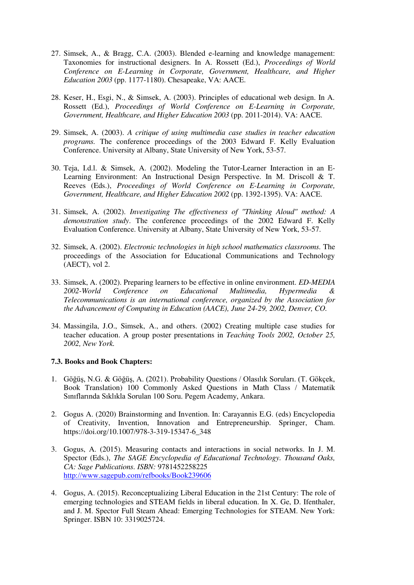- 27. Simsek, A., & Bragg, C.A. (2003). Blended e-learning and knowledge management: Taxonomies for instructional designers. In A. Rossett (Ed.), *Proceedings of World Conference on E-Learning in Corporate, Government, Healthcare, and Higher Education 2003* (pp. 1177-1180). Chesapeake, VA: AACE.
- 28. Keser, H., Esgi, N., & Simsek, A. (2003). Principles of educational web design. In A. Rossett (Ed.), *Proceedings of World Conference on E-Learning in Corporate, Government, Healthcare, and Higher Education 2003* (pp. 2011-2014). VA: AACE.
- 29. Simsek, A. (2003). *A critique of using multimedia case studies in teacher education programs.* The conference proceedings of the 2003 Edward F. Kelly Evaluation Conference. University at Albany, State University of New York, 53-57.
- 30. Teja, I.d.l. & Simsek, A. (2002). Modeling the Tutor-Learner Interaction in an E-Learning Environment: An Instructional Design Perspective. In M. Driscoll & T. Reeves (Eds.), *Proceedings of World Conference on E-Learning in Corporate, Government, Healthcare, and Higher Education 2002* (pp. 1392-1395). VA: AACE.
- 31. Simsek, A. (2002). *Investigating The effectiveness of "Thinking Aloud" method: A demonstration study*. The conference proceedings of the 2002 Edward F. Kelly Evaluation Conference. University at Albany, State University of New York, 53-57.
- 32. Simsek, A. (2002). *Electronic technologies in high school mathematics classrooms.* The proceedings of the Association for Educational Communications and Technology (AECT), vol 2.
- 33. Simsek, A. (2002). Preparing learners to be effective in online environment. *ED-MEDIA 2002-World Conference on Educational Multimedia, Hypermedia & Telecommunications is an international conference, organized by the Association for the Advancement of Computing in Education (AACE), June 24-29, 2002, Denver, CO.*
- 34. Massingila, J.O., Simsek, A., and others. (2002) Creating multiple case studies for teacher education. A group poster presentations in *Teaching Tools 2002, October 25, 2002, New York.*

#### **7.3. Books and Book Chapters:**

- 1. Göğüş, N.G. & Göğüş, A. (2021). Probability Questions / Olasılık Soruları. (T. Gökçek, Book Translation) 100 Commonly Asked Questions in Math Class / Matematik Sınıflarında Sıklıkla Sorulan 100 Soru. Pegem Academy, Ankara.
- 2. Gogus A. (2020) Brainstorming and Invention. In: Carayannis E.G. (eds) Encyclopedia of Creativity, Invention, Innovation and Entrepreneurship. Springer, Cham. https://doi.org/10.1007/978-3-319-15347-6\_348
- 3. Gogus, A. (2015). Measuring contacts and interactions in social networks. In J. M. Spector (Eds.), *The SAGE Encyclopedia of Educational Technology. Thousand Oaks, CA: Sage Publications. ISBN:* 9781452258225 <http://www.sagepub.com/refbooks/Book239606>
- 4. Gogus, A. (2015). Reconceptualizing Liberal Education in the 21st Century: The role of emerging technologies and STEAM fields in liberal education. In X. Ge, D. Ifenthaler, and J. M. Spector Full Steam Ahead: Emerging Technologies for STEAM. New York: Springer. ISBN 10: 3319025724.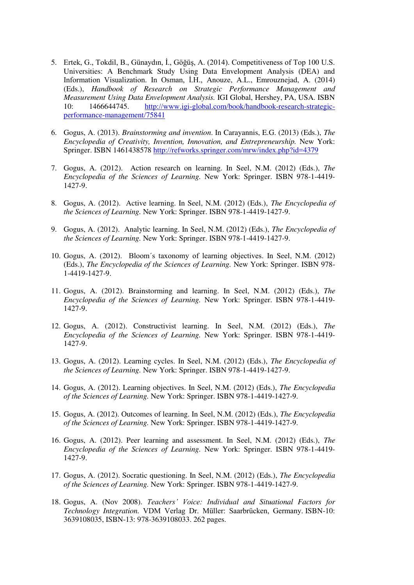- 5. Ertek, G., Tokdil, B., Günaydın, İ., Göğüş, A. (2014). Competitiveness of Top 100 U.S. Universities: A Benchmark Study Using Data Envelopment Analysis (DEA) and Information Visualization. In Osman, İ.H., Anouze, A.L., Emrouznejad, A. (2014) (Eds.), *Handbook of Research on Strategic Performance Management and Measurement Using Data Envelopment Analysis.* IGI Global, Hershey, PA, USA. ISBN 10: 1466644745. [http://www.igi-global.com/book/handbook-research-strategic](http://www.igi-global.com/book/handbook-research-strategic-performance-management/75841)[performance-management/75841](http://www.igi-global.com/book/handbook-research-strategic-performance-management/75841)
- 6. Gogus, A. (2013). *Brainstorming and invention*. In Carayannis, E.G. (2013) (Eds.), *The Encyclopedia of Creativity, Invention, Innovation, and Entrepreneurship.* New York: Springer. ISBN 1461438578<http://refworks.springer.com/mrw/index.php?id=4379>
- 7. Gogus, A. (2012). Action research on learning. In Seel, N.M. (2012) (Eds.), *The Encyclopedia of the Sciences of Learning.* New York: Springer. ISBN 978-1-4419- 1427-9.
- 8. Gogus, A. (2012). Active learning. In Seel, N.M. (2012) (Eds.), *The Encyclopedia of the Sciences of Learning.* New York: Springer. ISBN 978-1-4419-1427-9.
- 9. Gogus, A. (2012). Analytic learning. In Seel, N.M. (2012) (Eds.), *The Encyclopedia of the Sciences of Learning.* New York: Springer. ISBN 978-1-4419-1427-9.
- 10. Gogus, A. (2012). Bloom´s taxonomy of learning objectives. In Seel, N.M. (2012) (Eds.), *The Encyclopedia of the Sciences of Learning.* New York: Springer. ISBN 978- 1-4419-1427-9.
- 11. Gogus, A. (2012). Brainstorming and learning. In Seel, N.M. (2012) (Eds.), *The Encyclopedia of the Sciences of Learning.* New York: Springer. ISBN 978-1-4419- 1427-9.
- 12. Gogus, A. (2012). Constructivist learning. In Seel, N.M. (2012) (Eds.), *The Encyclopedia of the Sciences of Learning.* New York: Springer. ISBN 978-1-4419- 1427-9.
- 13. Gogus, A. (2012). Learning cycles. In Seel, N.M. (2012) (Eds.), *The Encyclopedia of the Sciences of Learning.* New York: Springer. ISBN 978-1-4419-1427-9.
- 14. Gogus, A. (2012). Learning objectives. In Seel, N.M. (2012) (Eds.), *The Encyclopedia of the Sciences of Learning.* New York: Springer. ISBN 978-1-4419-1427-9.
- 15. Gogus, A. (2012). Outcomes of learning. In Seel, N.M. (2012) (Eds.), *The Encyclopedia of the Sciences of Learning.* New York: Springer. ISBN 978-1-4419-1427-9.
- 16. Gogus, A. (2012). Peer learning and assessment. In Seel, N.M. (2012) (Eds.), *The Encyclopedia of the Sciences of Learning.* New York: Springer. ISBN 978-1-4419- 1427-9.
- 17. Gogus, A. (2012). Socratic questioning. In Seel, N.M. (2012) (Eds.), *The Encyclopedia of the Sciences of Learning.* New York: Springer. ISBN 978-1-4419-1427-9.
- 18. Gogus, A. (Nov 2008). *Teachers' Voice: Individual and Situational Factors for Technology Integration.* VDM Verlag Dr. Müller: Saarbrücken, Germany. ISBN-10: 3639108035, ISBN-13: 978-3639108033. 262 pages.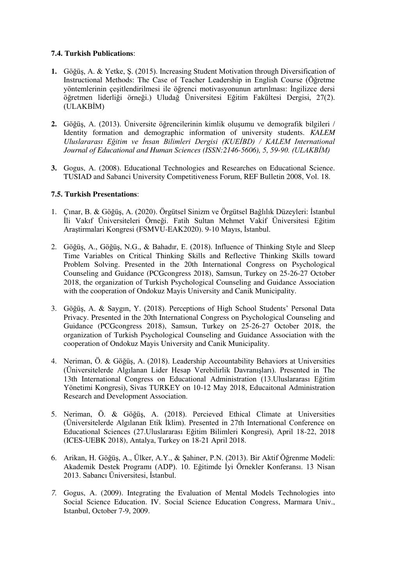#### **7.4. Turkish Publications**:

- **1.** Göğüş, A. & Yetke, Ş. (2015). Increasing Student Motivation through Diversification of Instructional Methods: The Case of Teacher Leadership in English Course (Öğretme yöntemlerinin çeşitlendirilmesi ile öğrenci motivasyonunun artırılması: İngilizce dersi öğretmen liderliği örneği.) Uludağ Üniversitesi Eğitim Fakültesi Dergisi, 27(2). (ULAKBİM)
- **2.** Göğüş, A. (2013). Üniversite öğrencilerinin kimlik oluşumu ve demografik bilgileri / Identity formation and demographic information of university students. *KALEM Uluslararası Eğitim ve İnsan Bilimleri Dergisi (KUEİBD) / KALEM International Journal of Educational and Human Sciences (ISSN:2146-5606), 5, 59-90. (ULAKBİM)*
- **3.** Gogus, A. (2008). Educational Technologies and Researches on Educational Science. TUSIAD and Sabanci University Competitiveness Forum, REF Bulletin 2008, Vol. 18.

#### **7.5. Turkish Presentations**:

- 1. Çınar, B. & Göğüş, A. (2020). Örgütsel Sinizm ve Örgütsel Bağlılık Düzeyleri: İstanbul İli Vakıf Üniversiteleri Örneği. Fatih Sultan Mehmet Vakif Üniversitesi Eğitim Araştirmalari Kongresi (FSMVU-EAK2020). 9-10 Mayıs, İstanbul.
- 2. Göğüş, A., Göğüş, N.G., & Bahadır, E. (2018). Influence of Thinking Style and Sleep Time Variables on Critical Thinking Skills and Reflective Thinking Skills toward Problem Solving. Presented in the 20th International Congress on Psychological Counseling and Guidance (PCGcongress 2018), Samsun, Turkey on 25-26-27 October 2018, the organization of Turkish Psychological Counseling and Guidance Association with the cooperation of Ondokuz Mayis University and Canik Municipality.
- 3. Göğüş, A. & Saygın, Y. (2018). Perceptions of High School Students' Personal Data Privacy. Presented in the 20th International Congress on Psychological Counseling and Guidance (PCGcongress 2018), Samsun, Turkey on 25-26-27 October 2018, the organization of Turkish Psychological Counseling and Guidance Association with the cooperation of Ondokuz Mayis University and Canik Municipality.
- 4. Neriman, Ö. & Göğüş, A. (2018). Leadership Accountability Behaviors at Universities (Üniversitelerde Algılanan Lider Hesap Verebilirlik Davranışları). Presented in The 13th International Congress on Educational Administration (13.Uluslararası Eğitim Yönetimi Kongresi), Sivas TURKEY on 10-12 May 2018, Educaitonal Administration Research and Development Association.
- 5. Neriman, Ö. & Göğüş, A. (2018). Percieved Ethical Climate at Universities (Üniversitelerde Algılanan Etik İklim). Presented in 27th International Conference on Educational Sciences (27.Uluslararası Eğitim Bilimleri Kongresi), April 18-22, 2018 (ICES-UEBK 2018), Antalya, Turkey on 18-21 April 2018.
- 6. Arikan, H. Göğüş, A., Ülker, A.Y., & Şahiner, P.N. (2013). Bir Aktif Öğrenme Modeli: Akademik Destek Programı (ADP). 10. Eğitimde İyi Örnekler Konferansı. 13 Nisan 2013. Sabancı Üniversitesi, İstanbul.
- *7.* Gogus, A. (2009). Integrating the Evaluation of Mental Models Technologies into Social Science Education. IV. Social Science Education Congress, Marmara Univ., Istanbul, October 7-9, 2009.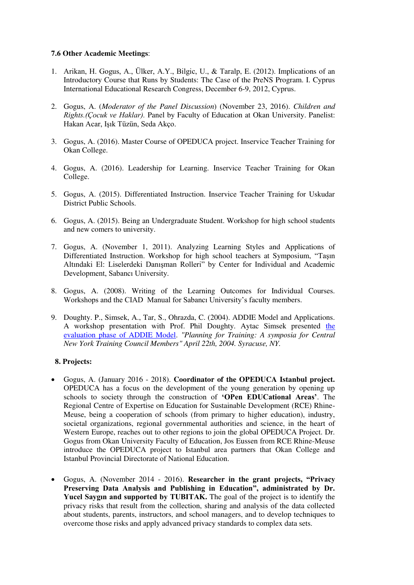#### **7.6 Other Academic Meetings**:

- 1. Arikan, H. Gogus, A., Ülker, A.Y., Bilgic, U., & Taralp, E. (2012). Implications of an Introductory Course that Runs by Students: The Case of the PreNS Program. I. Cyprus International Educational Research Congress, December 6-9, 2012, Cyprus.
- 2. Gogus, A. (*Moderator of the Panel Discussion*) (November 23, 2016). *Children and Rights.(Çocuk ve Haklar).* Panel by Faculty of Education at Okan University. Panelist: Hakan Acar, Işık Tüzün, Seda Akço.
- 3. Gogus, A. (2016). Master Course of OPEDUCA project. Inservice Teacher Training for Okan College.
- 4. Gogus, A. (2016). Leadership for Learning. Inservice Teacher Training for Okan College.
- 5. Gogus, A. (2015). Differentiated Instruction. Inservice Teacher Training for Uskudar District Public Schools.
- 6. Gogus, A. (2015). Being an Undergraduate Student. Workshop for high school students and new comers to university.
- 7. Gogus, A. (November 1, 2011). Analyzing Learning Styles and Applications of Differentiated Instruction. Workshop for high school teachers at Symposium, "Taşın Altındaki El: Liselerdeki Danışman Rolleri" by Center for Individual and Academic Development, Sabancı University.
- 8. Gogus, A. (2008). Writing of the Learning Outcomes for Individual Courses. Workshops and the CIAD Manual for Sabancı University's faculty members.
- 9. Doughty. P., Simsek, A., Tar, S., Ohrazda, C. (2004). ADDIE Model and Applications. A workshop presentation with Prof. Phil Doughty. Aytac Simsek presented [the](http://web.syr.edu/~asimsek/SimsekEvaluation-The%20ADDIE%20Model.ppt)  [evaluation phase of ADDIE Model.](http://web.syr.edu/~asimsek/SimsekEvaluation-The%20ADDIE%20Model.ppt) *"Planning for Training: A symposia for Central New York Training Council Members" April 22th, 2004. Syracuse, NY.*

#### **8. Projects:**

- Gogus, A. (January 2016 2018). **Coordinator of the OPEDUCA Istanbul project.** OPEDUCA has a focus on the development of the young generation by opening up schools to society through the construction of **'OPen EDUCational Areas'**. The Regional Centre of Expertise on Education for Sustainable Development (RCE) Rhine-Meuse, being a cooperation of schools (from primary to higher education), industry, societal organizations, regional governmental authorities and science, in the heart of Western Europe, reaches out to other regions to join the global OPEDUCA Project. Dr. Gogus from Okan University Faculty of Education, Jos Eussen from RCE Rhine-Meuse introduce the OPEDUCA project to Istanbul area partners that Okan College and Istanbul Provincial Directorate of National Education.
- Gogus, A. (November 2014 2016). **Researcher in the grant projects, "Privacy Preserving Data Analysis and Publishing in Education", administrated by Dr. Yucel Saygın and supported by TUBITAK.** The goal of the project is to identify the privacy risks that result from the collection, sharing and analysis of the data collected about students, parents, instructors, and school managers, and to develop techniques to overcome those risks and apply advanced privacy standards to complex data sets.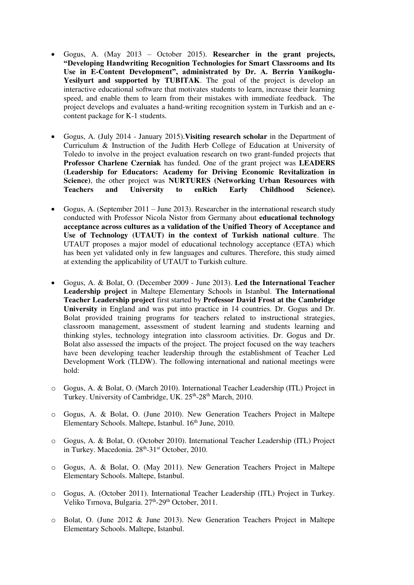- Gogus, A. (May 2013 October 2015). **Researcher in the grant projects, "Developing Handwriting Recognition Technologies for Smart Classrooms and Its Use in E-Content Development", administrated by Dr. A. Berrin Yanikoglu-**Yesilyurt and supported by TUBITAK. The goal of the project is develop an interactive educational software that motivates students to learn, increase their learning speed, and enable them to learn from their mistakes with immediate feedback. The project develops and evaluates a hand-writing recognition system in Turkish and an econtent package for K-1 students.
- Gogus, A. (July 2014 January 2015).**Visiting research scholar** in the Department of Curriculum & Instruction of the Judith Herb College of Education at University of Toledo to involve in the project evaluation research on two grant-funded projects that **Professor Charlene Czerniak** has funded. One of the grant project was **LEADERS (Leadership for Educators: Academy for Driving Economic Revitalization in Science)**, the other project was **NURTURES (Networking Urban Resources with Teachers and University to enRich Early Childhood Science).**
- Gogus, A. (September 2011 June 2013). Researcher in the international research study conducted with Professor Nicola Nistor from Germany about **educational technology acceptance across cultures as a validation of the Unified Theory of Acceptance and Use of Technology (UTAUT) in the context of Turkish national culture**. The UTAUT proposes a major model of educational technology acceptance (ETA) which has been yet validated only in few languages and cultures. Therefore, this study aimed at extending the applicability of UTAUT to Turkish culture.
- Gogus, A. & Bolat, O. (December 2009 June 2013). **Led the International Teacher Leadership project** in Maltepe Elementary Schools in Istanbul. **The International Teacher Leadership project** first started by **Professor David Frost at the Cambridge University** in England and was put into practice in 14 countries. Dr. Gogus and Dr. Bolat provided training programs for teachers related to instructional strategies, classroom management, assessment of student learning and students learning and thinking styles, technology integration into classroom activities. Dr. Gogus and Dr. Bolat also assessed the impacts of the project. The project focused on the way teachers have been developing teacher leadership through the establishment of Teacher Led Development Work (TLDW). The following international and national meetings were hold:
- o Gogus, A. & Bolat, O. (March 2010). International Teacher Leadership (ITL) Project in Turkey. University of Cambridge, UK. 25<sup>th</sup>-28<sup>th</sup> March, 2010.
- o Gogus, A. & Bolat, O. (June 2010). New Generation Teachers Project in Maltepe Elementary Schools. Maltepe, Istanbul. 16<sup>th</sup> June, 2010.
- o Gogus, A. & Bolat, O. (October 2010). International Teacher Leadership (ITL) Project in Turkey. Macedonia. 28<sup>th</sup>-31<sup>st</sup> October, 2010.
- o Gogus, A. & Bolat, O. (May 2011). New Generation Teachers Project in Maltepe Elementary Schools. Maltepe, Istanbul.
- o Gogus, A. (October 2011). International Teacher Leadership (ITL) Project in Turkey. Veliko Tırnova, Bulgaria. 27<sup>th</sup>-29<sup>th</sup> October, 2011.
- o Bolat, O. (June 2012 & June 2013). New Generation Teachers Project in Maltepe Elementary Schools. Maltepe, Istanbul.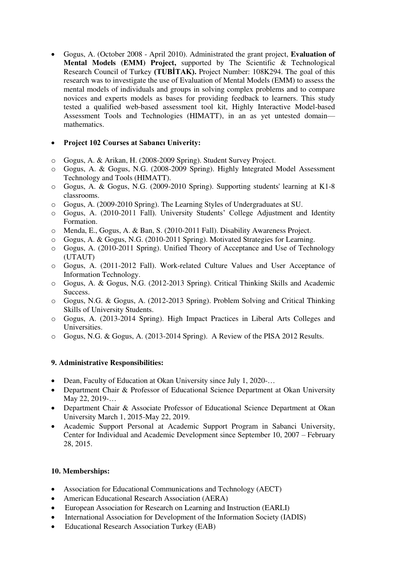Gogus, A. (October 2008 - April 2010). Administrated the grant project, **Evaluation of Mental Models (EMM) Project,** supported by The Scientific & Technological Research Council of Turkey **(TUBİTAK).** Project Number: 108K294. The goal of this research was to investigate the use of Evaluation of Mental Models (EMM) to assess the mental models of individuals and groups in solving complex problems and to compare novices and experts models as bases for providing feedback to learners. This study tested a qualified web-based assessment tool kit, Highly Interactive Model-based Assessment Tools and Technologies (HIMATT), in an as yet untested domain mathematics.

#### **Project 102 Courses at Sabancı Univerity:**

- o Gogus, A. & Arikan, H. (2008-2009 Spring). Student Survey Project.
- o Gogus, A. & Gogus, N.G. (2008-2009 Spring). Highly Integrated Model Assessment Technology and Tools (HIMATT).
- o Gogus, A. & Gogus, N.G. (2009-2010 Spring). Supporting students' learning at K1-8 classrooms.
- o Gogus, A. (2009-2010 Spring). The Learning Styles of Undergraduates at SU.
- o Gogus, A. (2010-2011 Fall). University Students' College Adjustment and Identity Formation.
- o Menda, E., Gogus, A. & Ban, S. (2010-2011 Fall). Disability Awareness Project.
- o Gogus, A. & Gogus, N.G. (2010-2011 Spring). Motivated Strategies for Learning.
- o Gogus, A. (2010-2011 Spring). Unified Theory of Acceptance and Use of Technology (UTAUT)
- o Gogus, A. (2011-2012 Fall). Work-related Culture Values and User Acceptance of Information Technology.
- o Gogus, A. & Gogus, N.G. (2012-2013 Spring). Critical Thinking Skills and Academic Success.
- o Gogus, N.G. & Gogus, A. (2012-2013 Spring). Problem Solving and Critical Thinking Skills of University Students.
- o Gogus, A. (2013-2014 Spring). High Impact Practices in Liberal Arts Colleges and Universities.
- o Gogus, N.G. & Gogus, A. (2013-2014 Spring). A Review of the PISA 2012 Results.

## **9. Administrative Responsibilities:**

- Dean, Faculty of Education at Okan University since July 1, 2020-...
- Department Chair & Professor of Educational Science Department at Okan University May 22, 2019-…
- Department Chair & Associate Professor of Educational Science Department at Okan University March 1, 2015-May 22, 2019.
- Academic Support Personal at Academic Support Program in Sabanci University, Center for Individual and Academic Development since September 10, 2007 – February 28, 2015.

#### **10. Memberships:**

- Association for Educational Communications and Technology (AECT)
- American Educational Research Association (AERA)
- European Association for Research on Learning and Instruction (EARLI)
- International Association for Development of the Information Society (IADIS)
- Educational Research Association Turkey (EAB)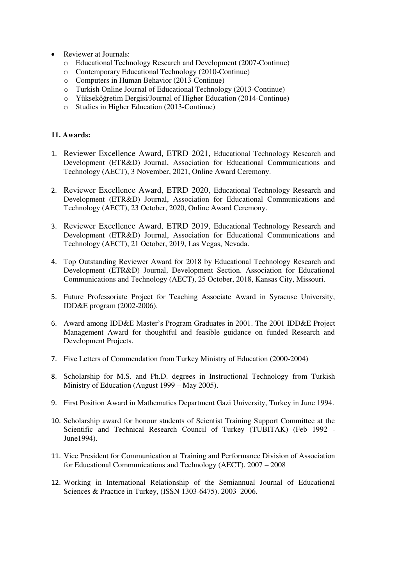- Reviewer at Journals:
	- o Educational Technology Research and Development (2007-Continue)
	- o Contemporary Educational Technology (2010-Continue)
	- Computers in Human Behavior (2013-Continue)<br>○ Turkish Online Journal of Educational Technology
	- Turkish Online Journal of Educational Technology (2013-Continue)
	- o Yükseköğretim Dergisi/Journal of Higher Education (2014-Continue)
	- o Studies in Higher Education (2013-Continue)

#### **11. Awards:**

- 1. Reviewer Excellence Award, ETRD 2021, Educational Technology Research and Development (ETR&D) Journal, Association for Educational Communications and Technology (AECT), 3 November, 2021, Online Award Ceremony.
- 2. Reviewer Excellence Award, ETRD 2020, Educational Technology Research and Development (ETR&D) Journal, Association for Educational Communications and Technology (AECT), 23 October, 2020, Online Award Ceremony.
- 3. Reviewer Excellence Award, ETRD 2019, Educational Technology Research and Development (ETR&D) Journal, Association for Educational Communications and Technology (AECT), 21 October, 2019, Las Vegas, Nevada.
- 4. Top Outstanding Reviewer Award for 2018 by Educational Technology Research and Development (ETR&D) Journal, Development Section. Association for Educational Communications and Technology (AECT), 25 October, 2018, Kansas City, Missouri.
- 5. Future Professoriate Project for Teaching Associate Award in Syracuse University, IDD&E program (2002-2006).
- 6. Award among IDD&E Master's Program Graduates in 2001. The 2001 IDD&E Project Management Award for thoughtful and feasible guidance on funded Research and Development Projects.
- 7. Five Letters of Commendation from Turkey Ministry of Education (2000-2004)
- 8. Scholarship for M.S. and Ph.D. degrees in Instructional Technology from Turkish Ministry of Education (August 1999 – May 2005).
- 9. First Position Award in Mathematics Department Gazi University, Turkey in June 1994.
- 10. Scholarship award for honour students of Scientist Training Support Committee at the Scientific and Technical Research Council of Turkey (TUBITAK) (Feb 1992 - June1994).
- 11. Vice President for Communication at Training and Performance Division of Association for Educational Communications and Technology (AECT). 2007 – 2008
- 12. Working in International Relationship of the Semiannual Journal of Educational Sciences & Practice in Turkey, (ISSN 1303-6475). 2003–2006.